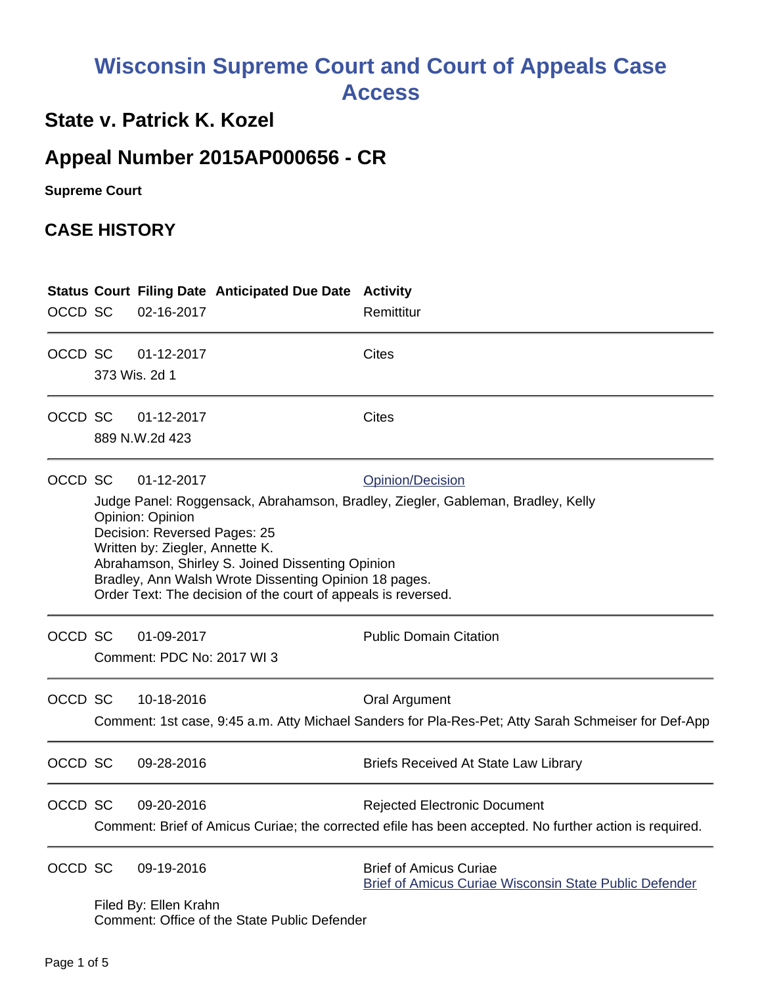## **Wisconsin Supreme Court and Court of Appeals Case Access**

## **State v. Patrick K. Kozel**

## **Appeal Number 2015AP000656 - CR**

**Supreme Court** 

## **CASE HISTORY**

| OCCD SC |                                                                                                                                                                                                                                                                                                                                                                                        | 02-16-2017                               | <b>Status Court Filing Date Anticipated Due Date Activity</b> | Remittitur                                                                                                                                    |
|---------|----------------------------------------------------------------------------------------------------------------------------------------------------------------------------------------------------------------------------------------------------------------------------------------------------------------------------------------------------------------------------------------|------------------------------------------|---------------------------------------------------------------|-----------------------------------------------------------------------------------------------------------------------------------------------|
| OCCD SC |                                                                                                                                                                                                                                                                                                                                                                                        | 01-12-2017<br>373 Wis. 2d 1              |                                                               | <b>Cites</b>                                                                                                                                  |
| OCCD SC |                                                                                                                                                                                                                                                                                                                                                                                        | 01-12-2017<br>889 N.W.2d 423             |                                                               | <b>Cites</b>                                                                                                                                  |
| OCCD SC | 01-12-2017<br>Opinion/Decision<br>Judge Panel: Roggensack, Abrahamson, Bradley, Ziegler, Gableman, Bradley, Kelly<br>Opinion: Opinion<br>Decision: Reversed Pages: 25<br>Written by: Ziegler, Annette K.<br>Abrahamson, Shirley S. Joined Dissenting Opinion<br>Bradley, Ann Walsh Wrote Dissenting Opinion 18 pages.<br>Order Text: The decision of the court of appeals is reversed. |                                          |                                                               |                                                                                                                                               |
| OCCD SC |                                                                                                                                                                                                                                                                                                                                                                                        | 01-09-2017<br>Comment: PDC No: 2017 WI 3 |                                                               | <b>Public Domain Citation</b>                                                                                                                 |
| OCCD SC |                                                                                                                                                                                                                                                                                                                                                                                        | 10-18-2016                               |                                                               | <b>Oral Argument</b><br>Comment: 1st case, 9:45 a.m. Atty Michael Sanders for Pla-Res-Pet; Atty Sarah Schmeiser for Def-App                   |
| OCCD SC |                                                                                                                                                                                                                                                                                                                                                                                        | 09-28-2016                               |                                                               | <b>Briefs Received At State Law Library</b>                                                                                                   |
| OCCD SC |                                                                                                                                                                                                                                                                                                                                                                                        | 09-20-2016                               |                                                               | <b>Rejected Electronic Document</b><br>Comment: Brief of Amicus Curiae; the corrected efile has been accepted. No further action is required. |
| OCCD SC |                                                                                                                                                                                                                                                                                                                                                                                        | 09-19-2016<br>Filed By: Ellen Krahn      |                                                               | <b>Brief of Amicus Curiae</b><br><b>Brief of Amicus Curiae Wisconsin State Public Defender</b>                                                |

Comment: Office of the State Public Defender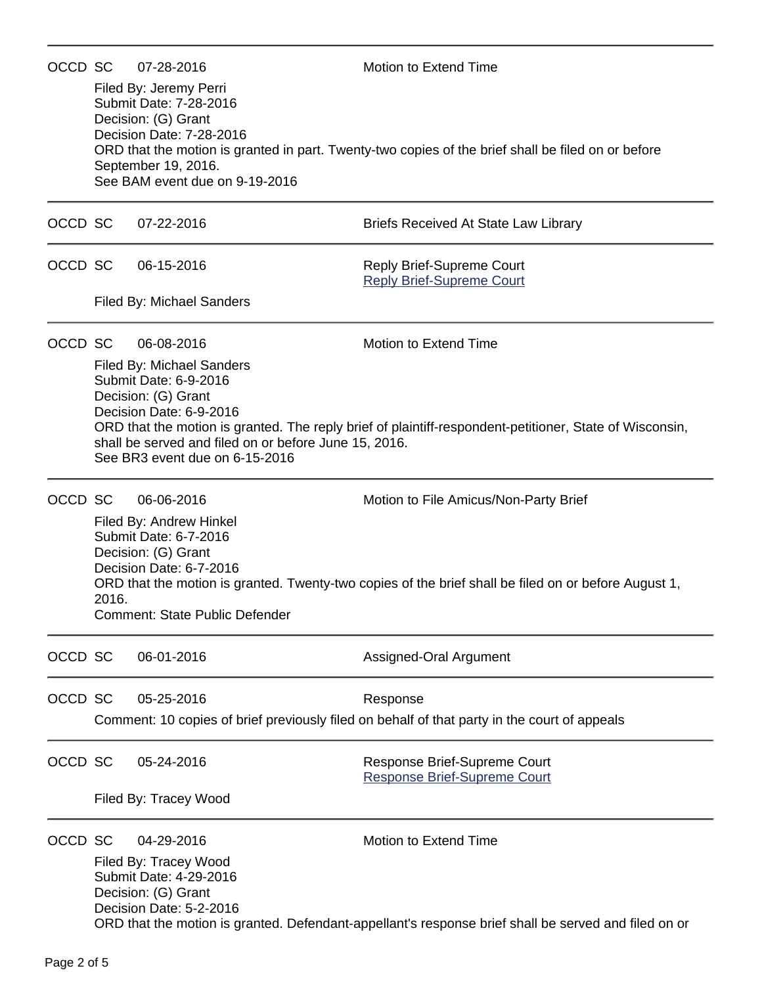| OCCD SC |                                                                                                                                                                                                                                                                                                                   | 07-28-2016                                                                                                                                                   | Motion to Extend Time                                                                                                                         |  |  |  |
|---------|-------------------------------------------------------------------------------------------------------------------------------------------------------------------------------------------------------------------------------------------------------------------------------------------------------------------|--------------------------------------------------------------------------------------------------------------------------------------------------------------|-----------------------------------------------------------------------------------------------------------------------------------------------|--|--|--|
|         |                                                                                                                                                                                                                                                                                                                   | Filed By: Jeremy Perri<br>Submit Date: 7-28-2016<br>Decision: (G) Grant<br>Decision Date: 7-28-2016<br>September 19, 2016.<br>See BAM event due on 9-19-2016 | ORD that the motion is granted in part. Twenty-two copies of the brief shall be filed on or before                                            |  |  |  |
| OCCD SC |                                                                                                                                                                                                                                                                                                                   | 07-22-2016                                                                                                                                                   | <b>Briefs Received At State Law Library</b>                                                                                                   |  |  |  |
| OCCD SC |                                                                                                                                                                                                                                                                                                                   | 06-15-2016                                                                                                                                                   | Reply Brief-Supreme Court<br><b>Reply Brief-Supreme Court</b>                                                                                 |  |  |  |
|         |                                                                                                                                                                                                                                                                                                                   | <b>Filed By: Michael Sanders</b>                                                                                                                             |                                                                                                                                               |  |  |  |
| OCCD SC |                                                                                                                                                                                                                                                                                                                   | 06-08-2016                                                                                                                                                   | Motion to Extend Time                                                                                                                         |  |  |  |
|         | <b>Filed By: Michael Sanders</b><br>Submit Date: 6-9-2016<br>Decision: (G) Grant<br>Decision Date: 6-9-2016<br>ORD that the motion is granted. The reply brief of plaintiff-respondent-petitioner, State of Wisconsin,<br>shall be served and filed on or before June 15, 2016.<br>See BR3 event due on 6-15-2016 |                                                                                                                                                              |                                                                                                                                               |  |  |  |
| OCCD SC | 2016.                                                                                                                                                                                                                                                                                                             | 06-06-2016<br>Filed By: Andrew Hinkel<br>Submit Date: 6-7-2016<br>Decision: (G) Grant<br>Decision Date: 6-7-2016<br><b>Comment: State Public Defender</b>    | Motion to File Amicus/Non-Party Brief<br>ORD that the motion is granted. Twenty-two copies of the brief shall be filed on or before August 1, |  |  |  |
| OCCD SC |                                                                                                                                                                                                                                                                                                                   | 06-01-2016                                                                                                                                                   | Assigned-Oral Argument                                                                                                                        |  |  |  |
| OCCD SC |                                                                                                                                                                                                                                                                                                                   | 05-25-2016                                                                                                                                                   | Response<br>Comment: 10 copies of brief previously filed on behalf of that party in the court of appeals                                      |  |  |  |
| OCCD SC |                                                                                                                                                                                                                                                                                                                   | 05-24-2016                                                                                                                                                   | Response Brief-Supreme Court<br><b>Response Brief-Supreme Court</b>                                                                           |  |  |  |
|         | Filed By: Tracey Wood                                                                                                                                                                                                                                                                                             |                                                                                                                                                              |                                                                                                                                               |  |  |  |
| OCCD SC |                                                                                                                                                                                                                                                                                                                   | 04-29-2016<br>Filed By: Tracey Wood<br>Submit Date: 4-29-2016<br>Decision: (G) Grant<br>Decision Date: 5-2-2016                                              | Motion to Extend Time<br>ORD that the motion is granted. Defendant-appellant's response brief shall be served and filed on or                 |  |  |  |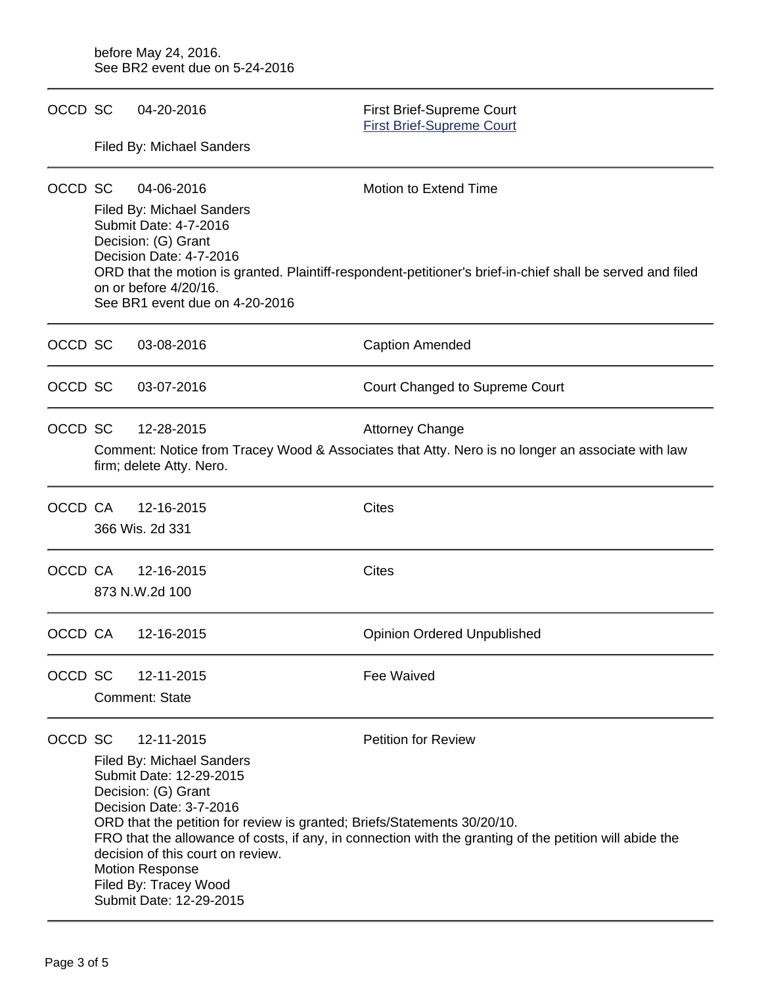| OCCD SC |                                                                                                                                                                                                                                                                                                                                                                                                                                                              | 04-20-2016                                                                                                                                                                                       | First Brief-Supreme Court<br><b>First Brief-Supreme Court</b> |  |  |  |
|---------|--------------------------------------------------------------------------------------------------------------------------------------------------------------------------------------------------------------------------------------------------------------------------------------------------------------------------------------------------------------------------------------------------------------------------------------------------------------|--------------------------------------------------------------------------------------------------------------------------------------------------------------------------------------------------|---------------------------------------------------------------|--|--|--|
|         | Filed By: Michael Sanders                                                                                                                                                                                                                                                                                                                                                                                                                                    |                                                                                                                                                                                                  |                                                               |  |  |  |
| OCCD SC | 04-06-2016<br>Filed By: Michael Sanders<br>Submit Date: 4-7-2016<br>Decision: (G) Grant                                                                                                                                                                                                                                                                                                                                                                      |                                                                                                                                                                                                  | <b>Motion to Extend Time</b>                                  |  |  |  |
|         |                                                                                                                                                                                                                                                                                                                                                                                                                                                              | Decision Date: 4-7-2016<br>ORD that the motion is granted. Plaintiff-respondent-petitioner's brief-in-chief shall be served and filed<br>on or before 4/20/16.<br>See BR1 event due on 4-20-2016 |                                                               |  |  |  |
| OCCD SC |                                                                                                                                                                                                                                                                                                                                                                                                                                                              | 03-08-2016                                                                                                                                                                                       | <b>Caption Amended</b>                                        |  |  |  |
| OCCD SC |                                                                                                                                                                                                                                                                                                                                                                                                                                                              | 03-07-2016                                                                                                                                                                                       | Court Changed to Supreme Court                                |  |  |  |
| OCCD SC | 12-28-2015<br><b>Attorney Change</b><br>Comment: Notice from Tracey Wood & Associates that Atty. Nero is no longer an associate with law<br>firm; delete Atty. Nero.                                                                                                                                                                                                                                                                                         |                                                                                                                                                                                                  |                                                               |  |  |  |
| OCCD CA |                                                                                                                                                                                                                                                                                                                                                                                                                                                              | 12-16-2015<br>366 Wis. 2d 331                                                                                                                                                                    | <b>Cites</b>                                                  |  |  |  |
| OCCD CA |                                                                                                                                                                                                                                                                                                                                                                                                                                                              | 12-16-2015<br>873 N.W.2d 100                                                                                                                                                                     | <b>Cites</b>                                                  |  |  |  |
| OCCD CA |                                                                                                                                                                                                                                                                                                                                                                                                                                                              | 12-16-2015                                                                                                                                                                                       | <b>Opinion Ordered Unpublished</b>                            |  |  |  |
| OCCD SC |                                                                                                                                                                                                                                                                                                                                                                                                                                                              | 12-11-2015<br><b>Comment: State</b>                                                                                                                                                              | Fee Waived                                                    |  |  |  |
| OCCD SC | <b>Petition for Review</b><br>12-11-2015<br>Filed By: Michael Sanders<br>Submit Date: 12-29-2015<br>Decision: (G) Grant<br>Decision Date: 3-7-2016<br>ORD that the petition for review is granted; Briefs/Statements 30/20/10.<br>FRO that the allowance of costs, if any, in connection with the granting of the petition will abide the<br>decision of this court on review.<br><b>Motion Response</b><br>Filed By: Tracey Wood<br>Submit Date: 12-29-2015 |                                                                                                                                                                                                  |                                                               |  |  |  |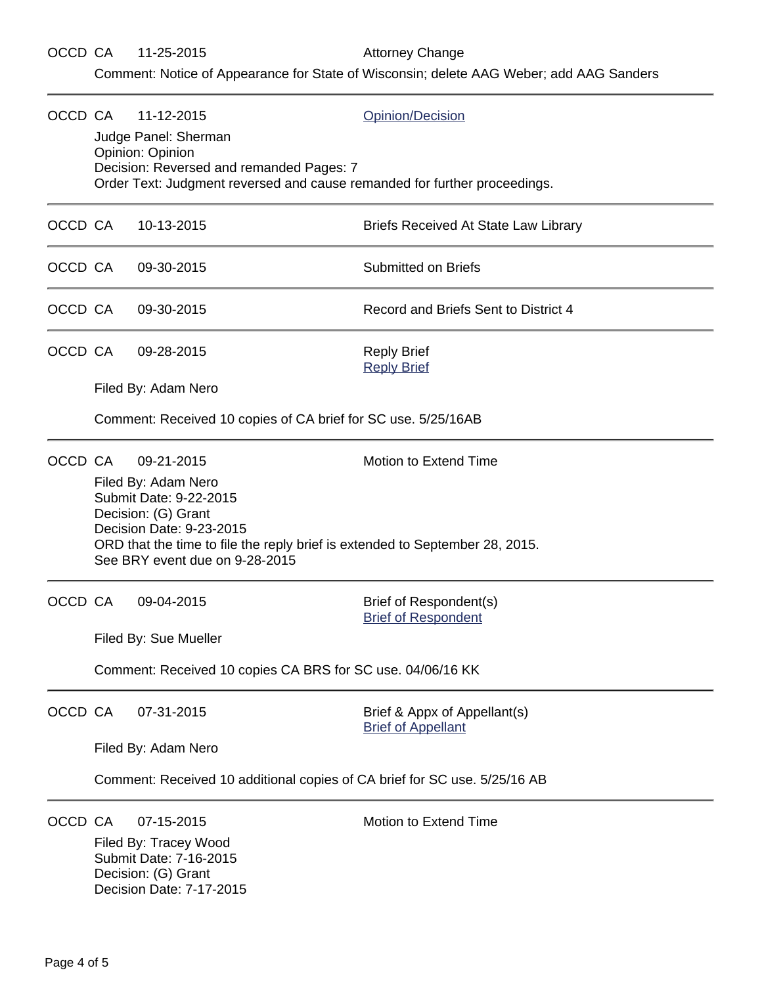Comment: Notice of Appearance for State of Wisconsin; delete AAG Weber; add AAG Sanders

| OCCD CA |                                                                                                    | 11-12-2015<br>Judge Panel: Sherman<br>Opinion: Opinion                                                                | Opinion/Decision                                          |  |  |  |
|---------|----------------------------------------------------------------------------------------------------|-----------------------------------------------------------------------------------------------------------------------|-----------------------------------------------------------|--|--|--|
|         |                                                                                                    | Decision: Reversed and remanded Pages: 7<br>Order Text: Judgment reversed and cause remanded for further proceedings. |                                                           |  |  |  |
| OCCD CA |                                                                                                    | 10-13-2015                                                                                                            | Briefs Received At State Law Library                      |  |  |  |
| OCCD CA |                                                                                                    | 09-30-2015                                                                                                            | <b>Submitted on Briefs</b>                                |  |  |  |
| OCCD CA |                                                                                                    | 09-30-2015                                                                                                            | Record and Briefs Sent to District 4                      |  |  |  |
| OCCD CA |                                                                                                    | 09-28-2015                                                                                                            | <b>Reply Brief</b><br><b>Reply Brief</b>                  |  |  |  |
|         |                                                                                                    | Filed By: Adam Nero                                                                                                   |                                                           |  |  |  |
|         |                                                                                                    | Comment: Received 10 copies of CA brief for SC use. 5/25/16AB                                                         |                                                           |  |  |  |
| OCCD CA |                                                                                                    | 09-21-2015                                                                                                            | Motion to Extend Time                                     |  |  |  |
|         |                                                                                                    | Filed By: Adam Nero<br>Submit Date: 9-22-2015<br>Decision: (G) Grant<br>Decision Date: 9-23-2015                      |                                                           |  |  |  |
|         |                                                                                                    | ORD that the time to file the reply brief is extended to September 28, 2015.<br>See BRY event due on 9-28-2015        |                                                           |  |  |  |
| OCCD CA |                                                                                                    | 09-04-2015                                                                                                            | Brief of Respondent(s)<br><b>Brief of Respondent</b>      |  |  |  |
|         |                                                                                                    | Filed By: Sue Mueller                                                                                                 |                                                           |  |  |  |
|         |                                                                                                    | Comment: Received 10 copies CA BRS for SC use. 04/06/16 KK                                                            |                                                           |  |  |  |
| OCCD CA |                                                                                                    | 07-31-2015                                                                                                            | Brief & Appx of Appellant(s)<br><b>Brief of Appellant</b> |  |  |  |
|         |                                                                                                    | Filed By: Adam Nero                                                                                                   |                                                           |  |  |  |
|         | Comment: Received 10 additional copies of CA brief for SC use. 5/25/16 AB                          |                                                                                                                       |                                                           |  |  |  |
| OCCD CA |                                                                                                    | 07-15-2015                                                                                                            | Motion to Extend Time                                     |  |  |  |
|         | Filed By: Tracey Wood<br>Submit Date: 7-16-2015<br>Decision: (G) Grant<br>Decision Date: 7-17-2015 |                                                                                                                       |                                                           |  |  |  |